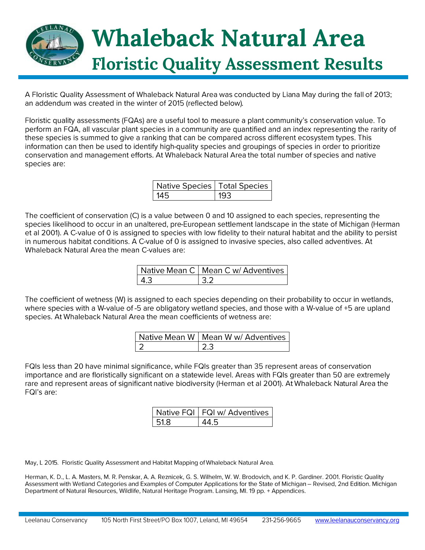

A Floristic Quality Assessment of Whaleback Natural Area was conducted by Liana May during the fall of 2013; an addendum was created in the winter of 2015 (reflected below).

Floristic quality assessments (FQAs) are a useful tool to measure a plant community's conservation value. To perform an FQA, all vascular plant species in a community are quantified and an index representing the rarity of these species is summed to give a ranking that can be compared across different ecosystem types. This information can then be used to identify high-quality species and groupings of species in order to prioritize conservation and management efforts. At Whaleback Natural Area the total number of species and native species are:

| Native Species   Total Species |  |
|--------------------------------|--|
| 145                            |  |

The coefficient of conservation (C) is a value between 0 and 10 assigned to each species, representing the species likelihood to occur in an unaltered, pre-European settlement landscape in the state of Michigan (Herman et al 2001). A C-value of 0 is assigned to species with low fidelity to their natural habitat and the ability to persist in numerous habitat conditions. A C-value of 0 is assigned to invasive species, also called adventives. At Whaleback Natural Area the mean C-values are:

| Native Mean C   Mean C w/ Adventives |
|--------------------------------------|
|                                      |

The coefficient of wetness (W) is assigned to each species depending on their probability to occur in wetlands, where species with a W-value of -5 are obligatory wetland species, and those with a W-value of +5 are upland species. At Whaleback Natural Area the mean coefficients of wetness are:

| Native Mean W   Mean W w/ Adventives |
|--------------------------------------|
|                                      |

FQIs less than 20 have minimal significance, while FQIs greater than 35 represent areas of conservation importance and are floristically significant on a statewide level. Areas with FQIs greater than 50 are extremely rare and represent areas of significant native biodiversity (Herman et al 2001). At Whaleback Natural Area the FQI's are:

|         | Native FQI   FQI w/ Adventives |
|---------|--------------------------------|
| $-51.8$ |                                |

May, L 2015. Floristic Quality Assessment and Habitat Mapping of Whaleback Natural Area.

Herman, K. D., L. A. Masters, M. R. Penskar, A. A. Reznicek, G. S. Wilhelm, W. W. Brodovich, and K. P. Gardiner. 2001. Floristic Quality Assessment with Wetland Categories and Examples of Computer Applications for the State of Michigan - Revised, 2nd Edition. Michigan Department of Natural Resources, Wildlife, Natural Heritage Program. Lansing, MI. 19 pp. + Appendices.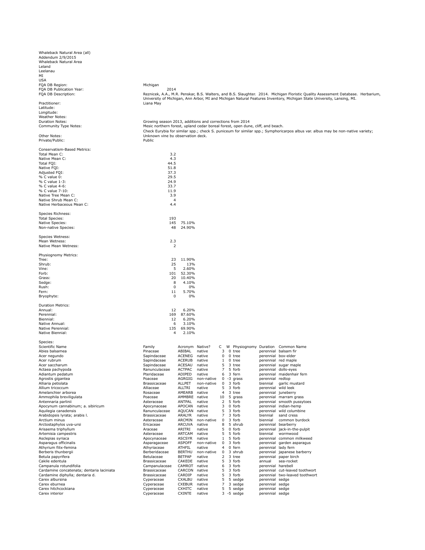| Whaleback Natural Area (all)<br>Addendum 2/9/2015 |                                                                                 |                           |                      |                |                                                  |                                    |                                                                                                                                  |
|---------------------------------------------------|---------------------------------------------------------------------------------|---------------------------|----------------------|----------------|--------------------------------------------------|------------------------------------|----------------------------------------------------------------------------------------------------------------------------------|
| Whaleback Natural Area                            |                                                                                 |                           |                      |                |                                                  |                                    |                                                                                                                                  |
| Leland                                            |                                                                                 |                           |                      |                |                                                  |                                    |                                                                                                                                  |
| Leelanau                                          |                                                                                 |                           |                      |                |                                                  |                                    |                                                                                                                                  |
| MI                                                |                                                                                 |                           |                      |                |                                                  |                                    |                                                                                                                                  |
| USA                                               |                                                                                 |                           |                      |                |                                                  |                                    |                                                                                                                                  |
| FQA DB Region:                                    | Michigan                                                                        |                           |                      |                |                                                  |                                    |                                                                                                                                  |
| FQA DB Publication Year:                          | 2014                                                                            |                           |                      |                |                                                  |                                    |                                                                                                                                  |
| FQA DB Description:                               |                                                                                 |                           |                      |                |                                                  |                                    | Reznicek, A.A., M.R. Penskar, B.S. Walters, and B.S. Slaughter. 2014. Michigan Floristic Quality Assessment Database. Herbarium, |
|                                                   |                                                                                 |                           |                      |                |                                                  |                                    | University of Michigan, Ann Arbor, MI and Michigan Natural Features Inventory, Michigan State University, Lansing, MI.           |
| Practitioner:<br>Latitude:                        | Liana May                                                                       |                           |                      |                |                                                  |                                    |                                                                                                                                  |
| Longitude:                                        |                                                                                 |                           |                      |                |                                                  |                                    |                                                                                                                                  |
| <b>Weather Notes:</b>                             |                                                                                 |                           |                      |                |                                                  |                                    |                                                                                                                                  |
| <b>Duration Notes:</b>                            | Growing season 2013, additions and corrections from 2014                        |                           |                      |                |                                                  |                                    |                                                                                                                                  |
| Community Type Notes:                             | Mesic northern forest, upland cedar boreal forest, open dune, cliff, and beach. |                           |                      |                |                                                  |                                    |                                                                                                                                  |
|                                                   |                                                                                 |                           |                      |                |                                                  |                                    | Check Eurybia for similar spp.; check S. puniceum for similar spp.; Symphoricarpos albus var. albus may be non-native variety;   |
| Other Notes:                                      | Unknown vine by observation deck.                                               |                           |                      |                |                                                  |                                    |                                                                                                                                  |
| Private/Public:                                   | Public                                                                          |                           |                      |                |                                                  |                                    |                                                                                                                                  |
|                                                   |                                                                                 |                           |                      |                |                                                  |                                    |                                                                                                                                  |
| Conservatism-Based Metrics:                       |                                                                                 |                           |                      |                |                                                  |                                    |                                                                                                                                  |
| Total Mean C:<br>Native Mean C:                   | 3.2<br>4.3                                                                      |                           |                      |                |                                                  |                                    |                                                                                                                                  |
| Total FQI:                                        | 44.5                                                                            |                           |                      |                |                                                  |                                    |                                                                                                                                  |
| Native FQI:                                       | 51.8                                                                            |                           |                      |                |                                                  |                                    |                                                                                                                                  |
| Adjusted FQI:                                     | 37.3                                                                            |                           |                      |                |                                                  |                                    |                                                                                                                                  |
| % C value 0:                                      | 29.5                                                                            |                           |                      |                |                                                  |                                    |                                                                                                                                  |
| % C value 1-3:                                    | 24.9                                                                            |                           |                      |                |                                                  |                                    |                                                                                                                                  |
| % C value 4-6:                                    | 33.7                                                                            |                           |                      |                |                                                  |                                    |                                                                                                                                  |
| % C value 7-10:                                   | 11.9                                                                            |                           |                      |                |                                                  |                                    |                                                                                                                                  |
| Native Tree Mean C:                               | 3.9                                                                             |                           |                      |                |                                                  |                                    |                                                                                                                                  |
| Native Shrub Mean C:                              | 4                                                                               |                           |                      |                |                                                  |                                    |                                                                                                                                  |
| Native Herbaceous Mean C:                         | 4.4                                                                             |                           |                      |                |                                                  |                                    |                                                                                                                                  |
| Species Richness:                                 |                                                                                 |                           |                      |                |                                                  |                                    |                                                                                                                                  |
| <b>Total Species:</b>                             | 193                                                                             |                           |                      |                |                                                  |                                    |                                                                                                                                  |
| <b>Native Species:</b>                            | 145                                                                             | 75.10%                    |                      |                |                                                  |                                    |                                                                                                                                  |
| Non-native Species:                               | 48                                                                              | 24.90%                    |                      |                |                                                  |                                    |                                                                                                                                  |
|                                                   |                                                                                 |                           |                      |                |                                                  |                                    |                                                                                                                                  |
| Species Wetness:                                  |                                                                                 |                           |                      |                |                                                  |                                    |                                                                                                                                  |
| Mean Wetness:                                     | 2.3                                                                             |                           |                      |                |                                                  |                                    |                                                                                                                                  |
| Native Mean Wetness:                              | 2                                                                               |                           |                      |                |                                                  |                                    |                                                                                                                                  |
|                                                   |                                                                                 |                           |                      |                |                                                  |                                    |                                                                                                                                  |
| Physiognomy Metrics:<br>Tree:                     | 23                                                                              | 11.90%                    |                      |                |                                                  |                                    |                                                                                                                                  |
| Shrub:                                            | 25                                                                              | 13%                       |                      |                |                                                  |                                    |                                                                                                                                  |
| Vine:                                             | 5                                                                               | 2.60%                     |                      |                |                                                  |                                    |                                                                                                                                  |
| Forb:                                             | 101                                                                             | 52.30%                    |                      |                |                                                  |                                    |                                                                                                                                  |
| Grass:                                            | 20                                                                              | 10.40%                    |                      |                |                                                  |                                    |                                                                                                                                  |
| Sedge:                                            | 8                                                                               | 4.10%                     |                      |                |                                                  |                                    |                                                                                                                                  |
| Rush:                                             | 0                                                                               | 0%                        |                      |                |                                                  |                                    |                                                                                                                                  |
| Fern:                                             | 11                                                                              | 5.70%                     |                      |                |                                                  |                                    |                                                                                                                                  |
| Bryophyte:                                        | 0                                                                               | 0%                        |                      |                |                                                  |                                    |                                                                                                                                  |
|                                                   |                                                                                 |                           |                      |                |                                                  |                                    |                                                                                                                                  |
| <b>Duration Metrics:</b><br>Annual:               | 12                                                                              | 6.20%                     |                      |                |                                                  |                                    |                                                                                                                                  |
| Perennial:                                        | 169                                                                             | 87.60%                    |                      |                |                                                  |                                    |                                                                                                                                  |
| Biennial:                                         | 12                                                                              | 6.20%                     |                      |                |                                                  |                                    |                                                                                                                                  |
| Native Annual:                                    | 6                                                                               | 3.10%                     |                      |                |                                                  |                                    |                                                                                                                                  |
| Native Perennial:                                 | 135                                                                             | 69.90%                    |                      |                |                                                  |                                    |                                                                                                                                  |
| Native Biennial:                                  | 4                                                                               | 2.10%                     |                      |                |                                                  |                                    |                                                                                                                                  |
|                                                   |                                                                                 |                           |                      |                |                                                  |                                    |                                                                                                                                  |
| Species:                                          |                                                                                 |                           |                      |                |                                                  |                                    |                                                                                                                                  |
| Scientific Name<br>Abies balsamea                 | Family<br>Pinaceae                                                              | Acronym Native?<br>ABIBAL | native               |                | C W Physiognomy Duration Common Name<br>3 0 tree |                                    |                                                                                                                                  |
| Acer negundo                                      | Sapindaceae                                                                     | ACENEG                    | native               | 0              | 0<br>tree                                        | perennial box-elder                | perennial balsam fir                                                                                                             |
| Acer rubrum                                       | Sapindaceae                                                                     | ACERUB                    | native               | 1              | 0 tree                                           |                                    | perennial red maple                                                                                                              |
| Acer saccharum                                    | Sapindaceae                                                                     | ACESAU                    | native               | 5              | 3 tree                                           |                                    | perennial sugar maple                                                                                                            |
| Actaea pachypoda                                  | Ranunculaceae                                                                   | <b>ACTPAC</b>             | native               | 7              | 5 forb                                           |                                    | perennial dolls-eyes                                                                                                             |
| Adiantum pedatum                                  | Pteridaceae                                                                     | ADIPED                    | native               | 6              | 3 fern                                           |                                    | perennial maidenhair fern                                                                                                        |
| Agrostis gigantea                                 | Poaceae                                                                         | AGRGIG                    | non-native           | 0              | -3 grass                                         | perennial redtop                   |                                                                                                                                  |
| Alliaria petiolata                                | Brassicaceae                                                                    | <b>ALLPET</b>             | non-native           | 0              | 3 forb                                           | biennial                           | garlic mustard                                                                                                                   |
| Allium tricoccum                                  | Alliaceae                                                                       | ALLTRI                    | native               | 5<br>4         | 3 forb                                           | perennial wild leek                |                                                                                                                                  |
| Amelanchier arborea<br>Ammophila breviligulata    | Rosaceae<br>Poaceae                                                             | AMEARB<br>AMMBRE          | native<br>native     | 10             | 3 tree<br>5 grass                                | perennial juneberry                | perennial marram grass                                                                                                           |
| Antennaria parlinii                               | Asteraceae                                                                      | ANTPAL                    | native               | 2              | 5 forb                                           |                                    | perennial smooth pussytoes                                                                                                       |
| Apocynum cannabinum; a. sibiricum                 | Apocynaceae                                                                     | APOCAN                    | native               | 3              | 0 forb                                           |                                    | perennial indian-hemp                                                                                                            |
| Aquilegia canadensis                              | Ranunculaceae                                                                   | <b>AQUCAN</b>             | native               | 5              | 3 forb                                           |                                    | perennial wild columbine                                                                                                         |
| Arabidopsis lyrata; arabis I.                     | Brassicaceae                                                                    | ARALYR                    | native               | $\overline{7}$ | 3 forb                                           | biennial                           | sand cress                                                                                                                       |
| Arctium minus                                     | Asteraceae                                                                      | ARCMIN                    | non-native           | 0              | 3 forb                                           | biennial                           | common burdock                                                                                                                   |
| Arctostaphylos uva-ursi                           | Ericaceae                                                                       | <b>ARCUVA</b>             | native               | 8              | 5 shrub                                          | perennial bearberry                |                                                                                                                                  |
| Arisaema triphyllum                               | Araceae                                                                         | ARITRI                    | native               | 5              | 0 forb                                           |                                    | perennial jack-in-the-pulpit                                                                                                     |
| Artemisia campestris                              | Asteraceae                                                                      | ARTCAM                    | native               | 5              | 5 forb                                           | biennial                           | wormwood                                                                                                                         |
| Asclepias syriaca<br>Asparagus officinalis        | Apocynaceae                                                                     | <b>ASCSYR</b>             | native               | $\mathbf{1}$   | 5 forb                                           |                                    | perennial common milkweed                                                                                                        |
| Athyrium filix-femina                             | Asparagaceae<br>Athyriaceae                                                     | <b>ASPOFF</b><br>ATHFIL   | non-native<br>native | 0<br>4         | 3 forb<br>0 fern                                 | perennial<br>perennial lady fern   | garden asparagus                                                                                                                 |
| Berberis thunbergii                               | Berberidaceae                                                                   | <b>BERTHU</b>             | non-native           | 0              | 3 shrub                                          |                                    | perennial japanese barberry                                                                                                      |
| Betula papyrifera                                 | Betulaceae                                                                      | <b>BETPAP</b>             | native               | 2              | 3 tree                                           |                                    | perennial paper birch                                                                                                            |
| Cakile edentula                                   | Brassicaceae                                                                    | CAKEDE                    | native               | 5              | 3 forb                                           | annual                             | sea-rocket                                                                                                                       |
| Campanula rotundifolia                            | Campanulaceae                                                                   | CAMROT                    | native               | 6              | 3 forb                                           | perennial harebell                 |                                                                                                                                  |
| Cardamine concatenata; dentaria laciniata         | Brassicaceae                                                                    | CARCON                    | native               | 5              | 3 forb                                           |                                    | perennial cut-leaved toothwort                                                                                                   |
| Cardamine diphylla; dentaria d.                   | Brassicaceae                                                                    | CARDIP                    | native               | 5              | 3 forb                                           |                                    | perennial two-leaved toothwort                                                                                                   |
| Carex albursina                                   | Cyperaceae                                                                      | CXALBU                    | native               | 5              | 5 sedge                                          | perennial sedge                    |                                                                                                                                  |
| Carex eburnea<br>Carex hitchcockiana              | Cyperaceae<br>Cyperaceae                                                        | CXEBUR<br><b>CXHITC</b>   | native               | 7<br>5         | 3 sedge<br>5 sedge                               | perennial sedge<br>perennial sedge |                                                                                                                                  |
| Carex interior                                    | Cyperaceae                                                                      | CXINTE                    | native<br>native     |                | $3 - 5$ sedge                                    | perennial sedge                    |                                                                                                                                  |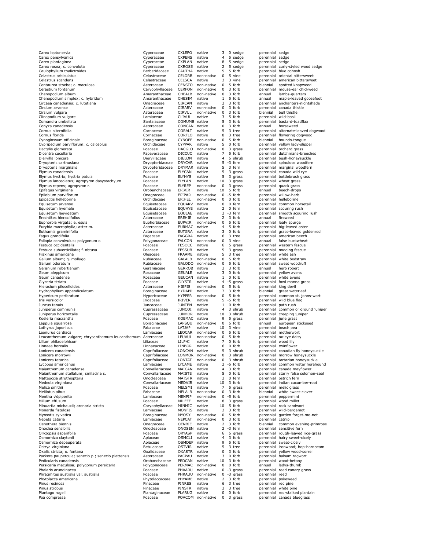| Carex leptonervia                                                    | Cyperaceae                         | <b>CXLEPO</b>                  | native                      | 3              |   | 0 sedge           | perennial sedge      |                                                                    |
|----------------------------------------------------------------------|------------------------------------|--------------------------------|-----------------------------|----------------|---|-------------------|----------------------|--------------------------------------------------------------------|
| Carex pensylvanica                                                   | Cyperaceae                         | <b>CXPENS</b>                  | native                      | 4              |   | 5 sedge           | perennial sedge      |                                                                    |
| Carex plantaginea                                                    | Cyperaceae                         | <b>CXPLAN</b>                  | native                      | 8              |   | 5 sedge           | perennial sedge      |                                                                    |
| Carex rosea; c. convoluta                                            | Cyperaceae                         | <b>CXROSE</b>                  | native                      | 2              |   | 5 sedge           |                      | perennial curly-styled wood sedge                                  |
| Caulophyllum thalictroides                                           | Berberidaceae                      | CAUTHA                         | native                      | 5              | 5 | forb              |                      | perennial blue cohosh                                              |
| Celastrus orbiculatus                                                | Celastraceae                       | CELORB                         | non-native                  | 0              |   | 5 vine            |                      | perennial oriental bittersweet                                     |
| Celastrus scandens                                                   | Celastraceae                       | CELSCA                         | native                      | 3              |   | 3 vine            |                      | perennial american bittersweet                                     |
| Centaurea stoebe; c. maculosa                                        | Asteraceae                         | <b>CENSTO</b>                  | non-native                  | 0              |   | 5 forb            | biennial             | spotted knapweed                                                   |
| Cerastium fontanum                                                   | Caryophyllaceae                    | <b>CERFON</b><br>CHEALB        | non-native                  | 0              |   | 3 forb            |                      | perennial mouse-ear chickweed                                      |
| Chenopodium album                                                    | Amaranthaceae                      | CHESIM                         | non-native<br>native        | 0              |   | 3 forb<br>5 forb  | annual               | lambs-quarters                                                     |
| Chenopodium simplex; c. hybridum<br>Circaea canadensis; c. lutetiana | Amaranthaceae                      | CIRCAN                         | native                      | 1<br>2         |   | 3 forb            | annual               | maple-leaved goosefoot<br>perennial enchanters-nightshade          |
| Cirsium arvense                                                      | Onagraceae<br>Asteraceae           | CIRARV                         | non-native                  | 0              |   | 3 forb            |                      | perennial canada thistle                                           |
| Cirsium vulgare                                                      | Asteraceae                         | <b>CIRVUL</b>                  | non-native                  | $\mathbf 0$    |   | 3 forb            | biennial             | bull thistle                                                       |
| Clinopodium vulgare                                                  | Lamiaceae                          | <b>CLIVUL</b>                  | native                      | 3              |   | 5 forb            | perennial wild-basil |                                                                    |
| Comandra umbellata                                                   | Santalaceae                        | COMUMB native                  |                             | 5              |   | 3 forb            |                      | perennial bastard-toadflax                                         |
| Conyza canadensis                                                    | Asteraceae                         | CONCAN                         | native                      | 0              |   | 3 forb            | annual               | horseweed                                                          |
| Cornus alternifolia                                                  | Cornaceae                          | CORALT                         | native                      | 5              |   | 3 tree            |                      | perennial alternate-leaved dogwood                                 |
| Cornus florida                                                       | Cornaceae                          | CORFLO                         | native                      | 8              |   | 3 tree            |                      | perennial flowering dogwood                                        |
| Cynoglossum officinale                                               | Boraginaceae                       | <b>CYNOFF</b>                  | non-native                  | 0              |   | 5 forb            | biennial             | hounds-tongue                                                      |
| Cypripedium parviflorum; c. calceolus                                | Orchidaceae                        | <b>CYPPAR</b>                  | native                      | 5              |   | 0 forb            |                      | perennial yellow lady-slipper                                      |
| Dactylis glomerata                                                   | Poaceae                            | <b>DACGLO</b>                  | non-native                  | 0              |   | 3 grass           |                      | perennial orchard grass                                            |
| Dicentra cucullaria                                                  | Papaveraceae                       | <b>DICCUC</b>                  | native                      | 7              | 5 | forb              |                      | perennial dutchmans-breeches                                       |
| Diervilla lonicera                                                   | Diervillaceae                      | DIELON                         | native                      | 4              |   | 5 shrub           |                      | perennial bush-honeysuckle                                         |
| Dryopteris carthusiana                                               | Dryopteridaceae                    | <b>DRYCAR</b>                  | native                      | 5              |   | -3 fern           |                      | perennial spinulose woodfern                                       |
| Dryopteris marginalis                                                | Dryopteridaceae                    | DRYMAR                         | native                      | 5              |   | 3 fern            |                      | perennial marginal woodfern                                        |
| Elymus canadensis                                                    | Poaceae                            | <b>ELYCAN</b>                  | native                      | 5              |   | 3 grass           |                      | perennial canada wild rye                                          |
| Elymus hystrix; hystrix patula                                       | Poaceae                            | <b>ELYHYS</b>                  | native                      | 5              |   | 3 grass           |                      | perennial bottlebrush grass                                        |
| Elymus lanceolatus; agropyron dasystachyum                           | Poaceae<br>Poaceae                 | ELYLAN<br><b>ELYREP</b>        | native                      | 10             |   | 3 grass           |                      | perennial wheat grass                                              |
| Elymus repens; agropyron r.<br>Epifagus virginiana                   | Orobanchaceae                      | EPIVIR                         | non-native<br>native        | 0<br>10        |   | 3 grass<br>5 forb | annual               | perennial quack grass<br>beech-drops                               |
| Epilobium parviflorum                                                | Onagraceae                         | EPIPAR                         | non-native                  |                |   | $0 - 5$ forb      |                      | perennial willow-herb                                              |
| Epipactis helleborine                                                | Orchidaceae                        | EPIHEL                         | non-native                  | 0              |   | 0 forb            |                      | perennial helleborine                                              |
| Equisetum arvense                                                    | Equisetaceae                       | EQUARV                         | native                      | 0              |   | 0 fern            |                      | perennial common horsetail                                         |
| Equisetum hyemale                                                    | Equisetaceae                       | EQUHYE                         | native                      | 2              |   | 0 fern            |                      | perennial scouring rush                                            |
| Equisetum laevigatum                                                 | Equisetaceae                       | EQULAE                         | native                      | 2              |   | -3 fern           |                      | perennial smooth scouring rush                                     |
| Erechtites hieraciifolius                                            | Asteraceae                         | EREHIE                         | native                      | 2              |   | 3 forb            | annual               | fireweed                                                           |
| Euphorbia virgata; e. esula                                          | Euphorbiaceae                      | <b>EUPVIR</b>                  | non-native                  | 0              |   | 5 forb            |                      | perennial leafy spurge                                             |
| Eurybia macrophylla; aster m.                                        | Asteraceae                         | <b>EURMAC</b>                  | native                      | 4              |   | 5 forb            |                      | perennial big-leaved aster                                         |
| Euthamia graminifolia                                                | Asteraceae                         | <b>EUTGRA</b>                  | native                      | 3              |   | 0 forb            |                      | perennial grass-leaved goldenrod                                   |
| Fagus grandifolia                                                    | Fagaceae                           | FAGGRA                         | native                      | 6              |   | 3 tree            |                      | perennial american beech                                           |
| Fallopia convolvulus; polygonum c.                                   | Polygonaceae                       | <b>FALCON</b>                  | non-native                  | 0              |   | 3 vine            | annual               | false buckwheat                                                    |
| Festuca occidentalis                                                 | Poaceae                            | <b>FESOCC</b>                  | native                      | 6              | 5 | grass             |                      | perennial western fescue                                           |
| Festuca subverticillata; f. obtusa                                   | Poaceae                            | <b>FESSUB</b>                  | native                      | 5              |   | 3 grass           |                      | perennial nodding fescue                                           |
| Fraxinus americana                                                   | Oleaceae                           | FRAAME                         | native                      | 5              |   | 3 tree            | perennial white ash  |                                                                    |
| Galium album; g. mollugo                                             | Rubiaceae                          | GALALB                         | non-native                  | 0              |   | 5 forb            |                      | perennial white bedstraw                                           |
| Galium odoratum                                                      | Rubiaceae                          | GALODO<br>GERROB               | non-native<br>native        | 0<br>3         |   | 5 forb<br>3 forb  |                      | perennial sweet woodruff                                           |
| Geranium robertianum<br>Geum aleppicum                               | Geraniaceae<br>Rosaceae            | GEUALE                         | native                      | 3              |   | 0 forb            | annual               | herb robert<br>perennial yellow avens                              |
| Geum canadense                                                       | Rosaceae                           | GEUCAN                         | native                      | $\mathbf{1}$   |   | 0 forb            |                      | perennial white avens                                              |
| Glyceria striata                                                     | Poaceae                            | <b>GLYSTR</b>                  | native                      | 4              |   | -5 grass          |                      | perennial fowl manna grass                                         |
| Hieracium piloselloides                                              | Asteraceae                         | HIEPIS                         | non-native                  | 0              |   | 5 forb            | perennial king devil |                                                                    |
| Hydrophyllum appendiculatum                                          | Boraginaceae                       | <b>HYDAPP</b>                  | native                      | 7              |   | 3 forb            | biennial             | great waterleaf                                                    |
| Hypericum perforatum                                                 | Hypericaceae                       | <b>HYPPER</b>                  | non-native                  | $\mathbf 0$    |   | 5 forb            |                      | perennial common st. johns-wort                                    |
| Iris versicolor                                                      | Iridaceae                          | IRIVER                         | native                      | 5              |   | -5 forb           |                      | perennial wild blue flag                                           |
| Juncus tenuis                                                        | Juncaceae                          | <b>JUNTEN</b>                  | native                      | $\mathbf{1}$   |   | 0 forb            | perennial path rush  |                                                                    |
| Juniperus communis                                                   | Cupressaceae                       | <b>JUNCOI</b>                  | native                      | 4              |   | 3 shrub           |                      | perennial common or ground juniper                                 |
| Juniperus horizontalis                                               | Cupressaceae                       | <b>JUNHOR</b>                  | native                      | 10             |   | 3 shrub           |                      | perennial creeping juniper                                         |
| Koeleria macrantha                                                   | Poaceae                            | KOEMAC                         | native                      | 9              |   | 5 grass           |                      | perennial june grass                                               |
| Lappula squarrosa                                                    | Boraginaceae                       | LAPSQU                         | non-native                  | 0              |   | 5 forb            | annual               | european stickseed                                                 |
| Lathyrus japonicus                                                   | Fabaceae                           | LATJAP                         | native                      | 10             |   | 3 vine            |                      | perennial beach pea                                                |
| Leonurus cardiaca                                                    | Lamiaceae                          | LEOCAR                         | non-native                  | 0              |   | 5 forb            |                      | perennial motherwort                                               |
| Leucanthemum vulgare; chrysanthemum leucanthemum Asteraceae          |                                    | LEUVUL                         | non-native                  | 0              |   | 5 forb            |                      | perennial ox-eye daisy                                             |
| Lilium philadelphicum                                                | Liliaceae                          | LILPHI                         | native                      | 7              |   | $0$ forb          | perennial wood lily  |                                                                    |
| Linnaea borealis<br>Lonicera canadensis                              | Linnaeaceae<br>Caprifoliaceae      | LINBOR<br>LONCAN               | native<br>native            | 6<br>5         |   | 0 forb<br>3 shrub |                      | perennial twinflower                                               |
| Lonicera morrowii                                                    | Caprifoliaceae                     |                                | LONMOR non-native           | 0              |   | 3 shrub           |                      | perennial canadian fly honeysuckle<br>perennial morrow honeysuckle |
| Lonicera tatarica                                                    | Caprifoliaceae                     | LONTAT                         | non-native                  | 0              |   | 3 shrub           |                      | perennial tartarian honeysuckle                                    |
| Lycopus americanus                                                   |                                    |                                |                             |                |   |                   |                      |                                                                    |
| Maianthemum canadense                                                |                                    |                                |                             |                |   |                   |                      |                                                                    |
|                                                                      | Lamiaceae                          | LYCAME                         | native                      | 2              |   | -5 forb           |                      | perennial common water horehound                                   |
| Maianthemum stellatum; smilacina s.                                  | Convallariaceae<br>Convallariaceae | MAICAN                         | native<br>native            | 4<br>5         |   | 3 forb<br>0 forb  |                      | perennial canada mayflower                                         |
| Matteuccia struthiopteris                                            | Onocleaceae                        | MAISTE<br><b>MATSTR</b>        | native                      | 3              |   | 0 fern            |                      | perennial starry false solomon-seal<br>perennial ostrich fern      |
| Medeola virginiana                                                   | Convallariaceae                    | MEDVIR                         | native                      | 10             |   | 3 forb            |                      | perennial indian cucumber-root                                     |
| Melica smithii                                                       | Poaceae                            | MELSMI                         | native                      | 7              | 5 | grass             |                      | perennial melic grass                                              |
| Melilotus albus                                                      | Fabaceae                           | MELALB                         | non-native                  | $\mathbf 0$    |   | 3 forb            | biennial             | white sweet-clover                                                 |
| Mentha √ópiperita                                                    | Lamiaceae                          | MENPIP                         | non-native                  | 0              |   | -5 forb           |                      | perennial peppermint                                               |
| Milium effusum                                                       | Poaceae                            | MILEFF                         | native                      | 8              |   | 3 grass           |                      | perennial wood millet                                              |
| Minuartia michauxii; arenaria stricta                                | Caryophyllaceae                    | MINMIC                         | native                      | 10             |   | 5 forb            |                      | perennial rock sandwort                                            |
| Monarda fistulosa                                                    | Lamiaceae                          | <b>MONFIS</b>                  | native                      | $\overline{2}$ |   | 3 forb            |                      | perennial wild-bergamot                                            |
| Myosotis sylvatica                                                   | Boraginaceae                       | <b>MYOSYL</b>                  | non-native                  | 0              |   | 5 forb            |                      | perennial garden forget-me-not                                     |
| Nepeta cataria                                                       | Lamiaceae                          | <b>NEPCAT</b>                  | non-native                  | 0              |   | 3 forb            | perennial catnip     |                                                                    |
| Oenothera biennis                                                    | Onagraceae                         | OENBIE                         | native                      | $\overline{2}$ |   | 3 forb            | biennial             | common evening-primrose                                            |
| Onoclea sensibilis                                                   | Onocleaceae                        | ONOSEN                         | native                      | 2              |   | -3 fern           |                      | perennial sensitive fern                                           |
| Oryzopsis asperifolia                                                | Poaceae                            | ORYASP                         | native                      | 6              |   | 5 grass           |                      | perennial rough-leaved rice-grass                                  |
| Osmorhiza claytonii                                                  | Apiaceae                           | OSMCLI                         | native                      | 4              |   | 3 forb            |                      | perennial hairy sweet-cicely                                       |
| Osmorhiza depauperata                                                | Apiaceae                           | OSMDEP                         | native                      | 9              |   | 5 forb            |                      | perennial sweet-cicely                                             |
| Ostrya virginiana<br>Oxalis stricta; o. fontana                      | Betulaceae<br>Oxalidaceae          | <b>OSTVIR</b><br><b>OXASTR</b> | native<br>native            | 5<br>0         |   | 3 tree<br>3 forb  |                      | perennial ironwood; hop-hornbeam<br>perennial yellow wood-sorrel   |
| Packera paupercula; senecio p.; senecio plattensis                   | Asteraceae                         | PACPAU                         | native                      | 3              |   | 0 forb            |                      | perennial balsam ragwort                                           |
| Pedicularis canadensis                                               | Orobanchaceae                      | PEDCAN                         | native                      | 10             |   | 3 forb            |                      | perennial wood-betony                                              |
| Persicaria maculosa; polygonum persicaria                            | Polygonaceae                       | PERMAC                         | non-native                  | 0              |   | 0 forb            | annual               | ladys-thumb                                                        |
| Phalaris arundinacea                                                 | Poaceae                            | PHAARU                         | native                      | 0              |   | -3 grass          |                      | perennial reed canary grass                                        |
| Phragmites australis var. australis                                  | Poaceae                            | PHRAUU                         | non-native                  | 0              |   | -3 grass          | perennial reed       |                                                                    |
| Phytolacca americana                                                 | Phytolaccaceae                     | PHYAME                         | native                      | 2              |   | 3 forb            |                      | perennial pokeweed                                                 |
| Pinus resinosa                                                       | Pinaceae                           | PINRES                         | native                      | 6              |   | 3 tree            | perennial red pine   |                                                                    |
| Pinus strobus                                                        | Pinaceae                           | PINSTR                         | native                      | 3              |   | 3 tree            |                      | perennial white pine                                               |
| Plantago rugelii<br>Poa compressa                                    | Plantaginaceae<br>Poaceae          | PLARUG                         | native<br>POACOM non-native | 0<br>0         |   | 0 forb<br>3 grass |                      | perennial red-stalked plantain<br>perennial canada bluegrass       |